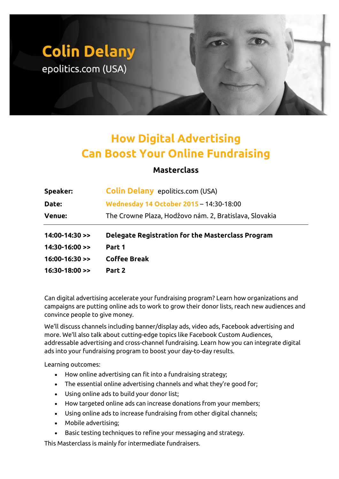## **Colin Delany** epolitics.com (USA)

## **How Digital Advertising Can Boost Your Online Fundraising**

## **Masterclass**

| <b>Speaker:</b>      | <b>Colin Delany</b> epolitics.com (USA)                  |
|----------------------|----------------------------------------------------------|
| <b>Date:</b>         | Wednesday 14 October 2015 - 14:30-18:00                  |
| <b>Venue:</b>        | The Crowne Plaza, Hodžovo nám. 2, Bratislava, Slovakia   |
|                      |                                                          |
| $14:00-14:30$ >>     | <b>Delegate Registration for the Masterclass Program</b> |
| $14:30-16:00$ >>     | Part 1                                                   |
| $16:00-16:30 \geq 1$ | <b>Coffee Break</b>                                      |

Can digital advertising accelerate your fundraising program? Learn how organizations and campaigns are putting online ads to work to grow their donor lists, reach new audiences and convince people to give money.

We'll discuss channels including banner/display ads, video ads, Facebook advertising and more. We'll also talk about cutting-edge topics like Facebook Custom Audiences, addressable advertising and cross-channel fundraising. Learn how you can integrate digital ads into your fundraising program to boost your day-to-day results.

Learning outcomes:

- How online advertising can fit into a fundraising strategy;
- The essential online advertising channels and what they're good for;
- Using online ads to build your donor list;
- How targeted online ads can increase donations from your members;
- Using online ads to increase fundraising from other digital channels;
- Mobile advertising;
- Basic testing techniques to refine your messaging and strategy.

This Masterclass is mainly for intermediate fundraisers.